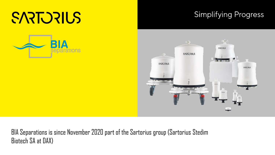# SARTORIUS

#### **Simplifying Progress**





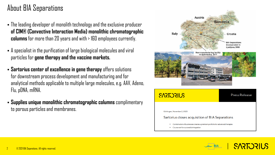### About BIA Separations

- The leading developer of monolith technology and the exclusive producer **of CIM® (Convective Interaction Media) monolithic chromatographic columns**for more than20 years and with > 160 employees currently.
- A specialist in the purification of large biological molecules and viral particles for **gene therapy and the vaccine markets.**
- **Sartorius center of excellence in gene therapy** offers solutions for downstream process development and manufacturing and for analytical methods applicable to multiple large molecules, e.g. AAV, Adeno, Flu, pDNA, mRNA.
- **Supplies unique monolithic chromatographic columns** complimentary to porous particles and membranes.



**SARTORIUS**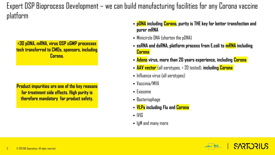Expert DSP Bioprocess Development – we can build manufacturing facilities for any Corona vaccine platform

**>30 pDNA, mRNA, virus DSP cGMP processes tech transferred to CMOs, sponsors, including Corona.** 

**Product impurities are one of the key reasons for treatment side effects. High purity is therefore mandatory for product safety.** 

- **pDNA including Corona, purity is THE key for better transfection and purer mRNA**
- Minicircle DNA (shorten the pDNA)
- **ssRNA and dsRNA, platform process from E.coli to mRNA including Corona**
- **Adeno virus, more than 20 years experience, including Corona**
- **AAV vector** (all serotypes, > 20 tested), **including Corona**
- Influenza virus (all serotypes)
- Vaccinia/MVA
- $\blacksquare$  Exosome
- Bacteriophage
- **VLPs including Flu and Corona**
- $\blacksquare$  IVIG
- $\blacksquare$  IgM and many more

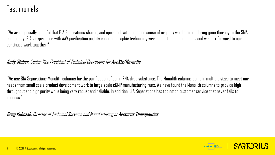#### Testimonials

"We are especially grateful that BIA Separations shared, and operated, with the same sense of urgency we did to help bring gene therapy to the SMA community. BIA's experience with AAV purification and its chromatographic technology were important contributions and we look forward to our continued work together."

#### **Andy Stober**, Senior Vice President of Technical Operations for **AveXis/Novartis**

"We use BIA Separations Monolith columns for the purification of our mRNA drug substance. The Monolith columns come in multiple sizes to meet our needs from small scale product development work to large scale cGMP manufacturing runs. We have found the Monolith columns to provide high throughput and high purity while being very robust and reliable. In addition, BIA Separations has top notch customer service that never fails to impress."

**Greg Kubczak,** Director of Technical Services and Manufacturing at **Arcturus Therapeutics**

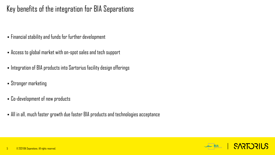#### Key benefits of the integration for BIA Separations

- Financial stability and funds for further development
- Access to global market with on-spot sales and tech support
- Integration of BIA products into Sartorius facility design offerings
- Stronger marketing
- Co-development of new products
- All in all, much faster growth due faster BIA products and technologies acceptance

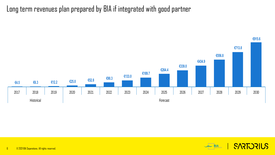Long term revenues plan prepared by BIA if integrated with good partner



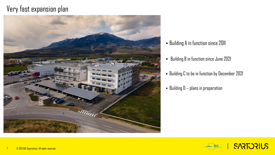#### Very fast expansion plan



- Building A in function since 2011
- Building B in function since June 2021
- Building C to be in function by December 2021
- $-$  Building  $D -$  plans in preparation



**SARTORIUS**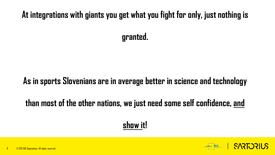## **At integrations with giants you get what you fight for only, just nothing is**

**granted.** 

### **As in sports Slovenians are in average better in science and technology**

## **than most of the other nations, we just need some self confidence, and**

## **show it!**